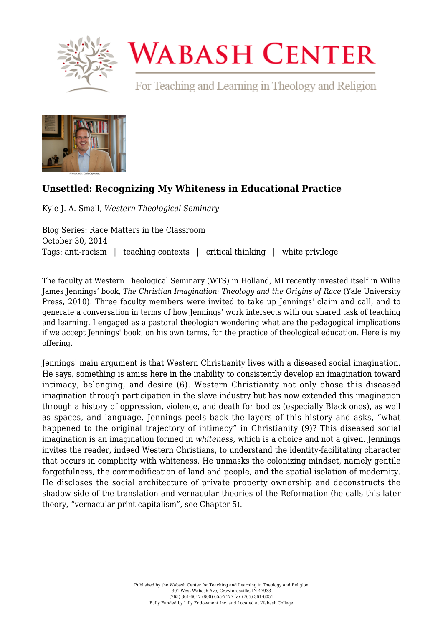

## **WABASH CENTER**

For Teaching and Learning in Theology and Religion



## **[Unsettled: Recognizing My Whiteness in Educational Practice](https://www.wabashcenter.wabash.edu/2014/10/unsettled-recognizing-my-whiteness-in-educational-practice/)**

Kyle J. A. Small, *Western Theological Seminary*

Blog Series: Race Matters in the Classroom October 30, 2014 Tags: anti-racism | teaching contexts | critical thinking | white privilege

The faculty at Western Theological Seminary (WTS) in Holland, MI recently invested itself in Willie James Jennings' book, *[The Christian Imagination: Theology and the Origins of Race](https://yalebooks.yale.edu/book/9780300171365/the-christian-imagination/)* (Yale University Press, 2010). Three faculty members were invited to take up Jennings' claim and call, and to generate a conversation in terms of how Jennings' work intersects with our shared task of teaching and learning. I engaged as a pastoral theologian wondering what are the pedagogical implications if we accept Jennings' book, on his own terms, for the practice of theological education. Here is my offering.

Jennings' main argument is that Western Christianity lives with a diseased social imagination. He says, something is amiss here in the inability to consistently develop an imagination toward intimacy, belonging, and desire (6). Western Christianity not only chose this diseased imagination through participation in the slave industry but has now extended this imagination through a history of oppression, violence, and death for bodies (especially Black ones), as well as spaces, and language. Jennings peels back the layers of this history and asks, "what happened to the original trajectory of intimacy" in Christianity (9)? This diseased social imagination is an imagination formed in *whiteness,* which is a choice and not a given. Jennings invites the reader, indeed Western Christians, to understand the identity-facilitating character that occurs in complicity with whiteness. He unmasks the colonizing mindset, namely gentile forgetfulness, the commodification of land and people, and the spatial isolation of modernity. He discloses the social architecture of private property ownership and deconstructs the shadow-side of the translation and vernacular theories of the Reformation (he calls this later theory, "vernacular print capitalism", see Chapter 5).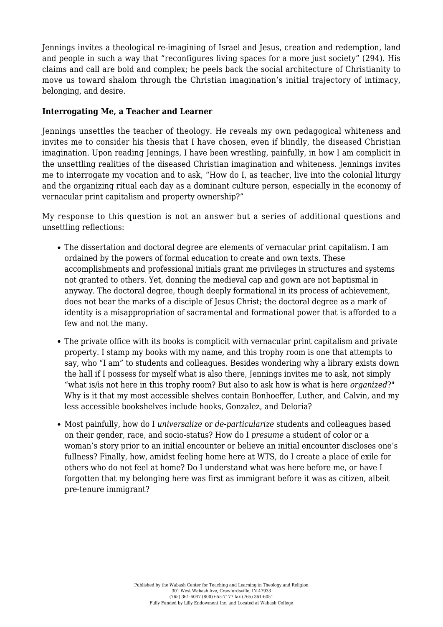Jennings invites a theological re-imagining of Israel and Jesus, creation and redemption, land and people in such a way that "reconfigures living spaces for a more just society" (294). His claims and call are bold and complex; he peels back the social architecture of Christianity to move us toward shalom through the Christian imagination's initial trajectory of intimacy, belonging, and desire.

## **Interrogating Me, a Teacher and Learner**

Jennings unsettles the teacher of theology. He reveals my own pedagogical whiteness and invites me to consider his thesis that I have chosen, even if blindly, the diseased Christian imagination. Upon reading Jennings, I have been wrestling, painfully, in how I am complicit in the unsettling realities of the diseased Christian imagination and whiteness. Jennings invites me to interrogate my vocation and to ask, "How do I, as teacher, live into the colonial liturgy and the organizing ritual each day as a dominant culture person, especially in the economy of vernacular print capitalism and property ownership?"

My response to this question is not an answer but a series of additional questions and unsettling reflections:

- The dissertation and doctoral degree are elements of vernacular print capitalism. I am ordained by the powers of formal education to create and own texts. These accomplishments and professional initials grant me privileges in structures and systems not granted to others. Yet, donning the medieval cap and gown are not baptismal in anyway. The doctoral degree, though deeply formational in its process of achievement, does not bear the marks of a disciple of Jesus Christ; the doctoral degree as a mark of identity is a misappropriation of sacramental and formational power that is afforded to a few and not the many.
- The private office with its books is complicit with vernacular print capitalism and private property. I stamp my books with my name, and this trophy room is one that attempts to say, who "I am" to students and colleagues. Besides wondering why a library exists down the hall if I possess for myself what is also there, Jennings invites me to ask, not simply "what is/is not here in this trophy room? But also to ask how is what is here *organized*?" Why is it that my most accessible shelves contain Bonhoeffer, Luther, and Calvin, and my less accessible bookshelves include hooks, Gonzalez, and Deloria?
- Most painfully, how do I *universalize* or *de-particularize* students and colleagues based on their gender, race, and socio-status? How do I *presume* a student of color or a woman's story prior to an initial encounter or believe an initial encounter discloses one's fullness? Finally, how, amidst feeling home here at WTS, do I create a place of exile for others who do not feel at home? Do I understand what was here before me, or have I forgotten that my belonging here was first as immigrant before it was as citizen, albeit pre-tenure immigrant?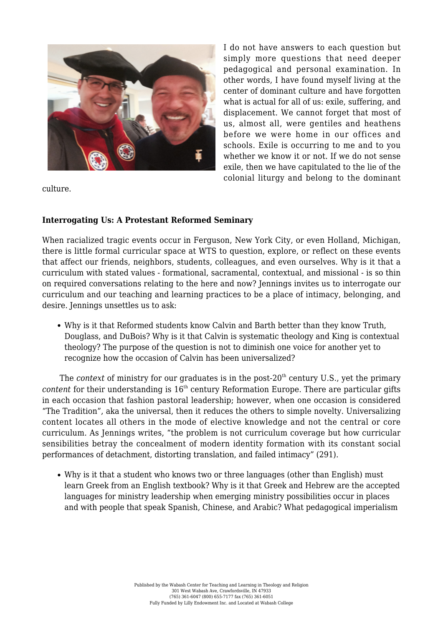

I do not have answers to each question but simply more questions that need deeper pedagogical and personal examination. In other words, I have found myself living at the center of dominant culture and have forgotten what is actual for all of us: exile, suffering, and displacement. We cannot forget that most of us, almost all, were gentiles and heathens before we were home in our offices and schools. Exile is occurring to me and to you whether we know it or not. If we do not sense exile, then we have capitulated to the lie of the colonial liturgy and belong to the dominant

culture.

## **Interrogating Us: A Protestant Reformed Seminary**

When racialized tragic events occur in Ferguson, New York City, or even Holland, Michigan, there is little formal curricular space at WTS to question, explore, or reflect on these events that affect our friends, neighbors, students, colleagues, and even ourselves. Why is it that a curriculum with stated values - formational, sacramental, contextual, and missional - is so thin on required conversations relating to the here and now? Jennings invites us to interrogate our curriculum and our teaching and learning practices to be a place of intimacy, belonging, and desire. Jennings unsettles us to ask:

Why is it that Reformed students know Calvin and Barth better than they know Truth, Douglass, and DuBois? Why is it that Calvin is systematic theology and King is contextual theology? The purpose of the question is not to diminish one voice for another yet to recognize how the occasion of Calvin has been universalized?

The *context* of ministry for our graduates is in the post-20<sup>th</sup> century U.S., yet the primary *content* for their understanding is 16<sup>th</sup> century Reformation Europe. There are particular gifts in each occasion that fashion pastoral leadership; however, when one occasion is considered "The Tradition", aka the universal, then it reduces the others to simple novelty. Universalizing content locates all others in the mode of elective knowledge and not the central or core curriculum. As Jennings writes, "the problem is not curriculum coverage but how curricular sensibilities betray the concealment of modern identity formation with its constant social performances of detachment, distorting translation, and failed intimacy" (291).

Why is it that a student who knows two or three languages (other than English) must learn Greek from an English textbook? Why is it that Greek and Hebrew are the accepted languages for ministry leadership when emerging ministry possibilities occur in places and with people that speak Spanish, Chinese, and Arabic? What pedagogical imperialism